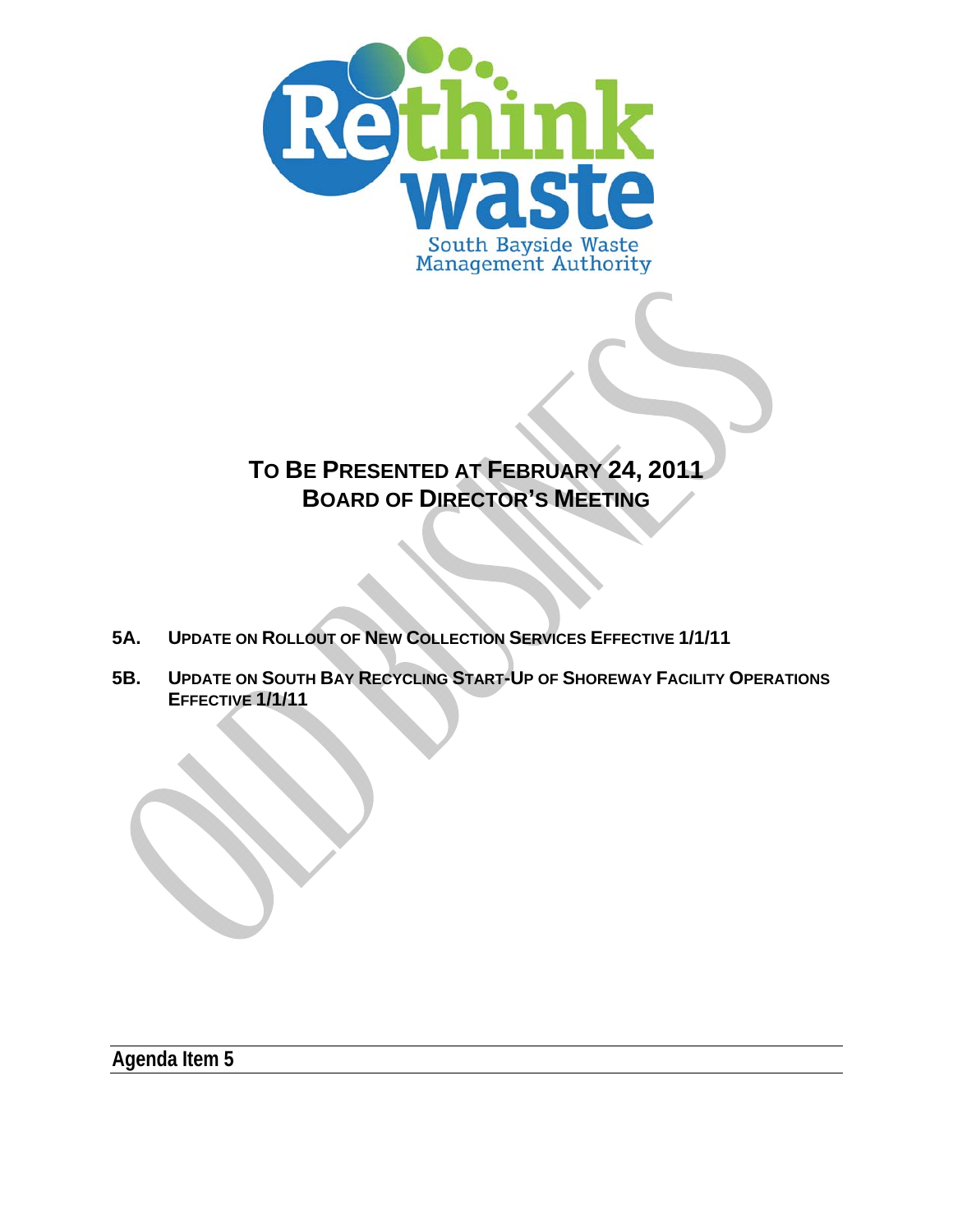

# **TO BE PRESENTED AT FEBRUARY 24, 2011 BOARD OF DIRECTOR'S MEETING**

- **5A. UPDATE ON ROLLOUT OF NEW COLLECTION SERVICES EFFECTIVE 1/1/11**
- **5B. UPDATE ON SOUTH BAY RECYCLING START-UP OF SHOREWAY FACILITY OPERATIONS EFFECTIVE 1/1/11**

**Agenda Item 5**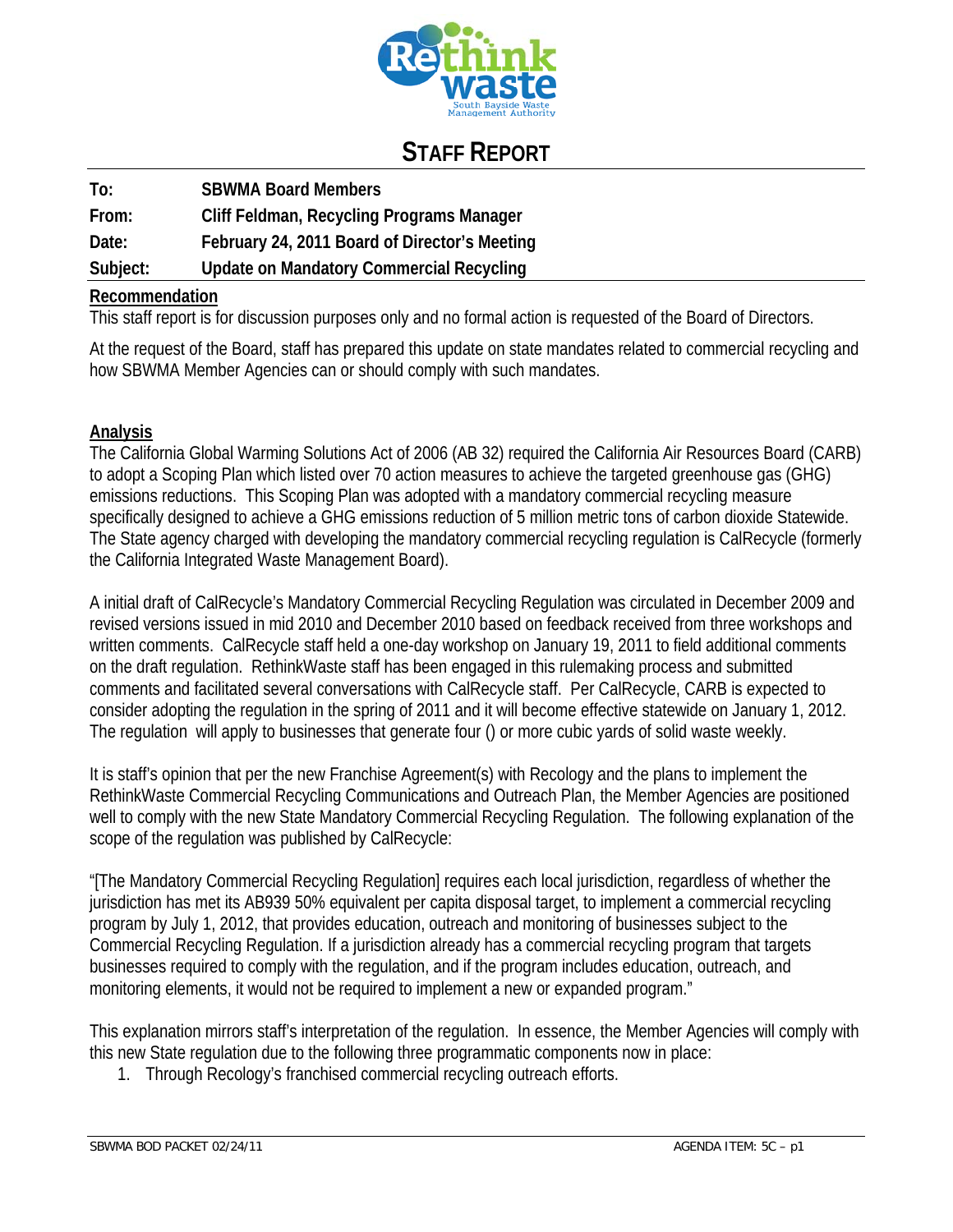

## **STAFF REPORT**

| To:      | <b>SBWMA Board Members</b>                    |
|----------|-----------------------------------------------|
| From:    | Cliff Feldman, Recycling Programs Manager     |
| Date:    | February 24, 2011 Board of Director's Meeting |
| Subject: | Update on Mandatory Commercial Recycling      |

#### **Recommendation**

This staff report is for discussion purposes only and no formal action is requested of the Board of Directors.

At the request of the Board, staff has prepared this update on state mandates related to commercial recycling and how SBWMA Member Agencies can or should comply with such mandates.

#### **Analysis**

The California Global Warming Solutions Act of 2006 (AB 32) required the California Air Resources Board (CARB) to adopt a Scoping Plan which listed over 70 action measures to achieve the targeted greenhouse gas (GHG) emissions reductions. This Scoping Plan was adopted with a mandatory commercial recycling measure specifically designed to achieve a GHG emissions reduction of 5 million metric tons of carbon dioxide Statewide. The State agency charged with developing the mandatory commercial recycling regulation is CalRecycle (formerly the California Integrated Waste Management Board).

A initial draft of CalRecycle's Mandatory Commercial Recycling Regulation was circulated in December 2009 and revised versions issued in mid 2010 and December 2010 based on feedback received from three workshops and written comments. CalRecycle staff held a one-day workshop on January 19, 2011 to field additional comments on the draft regulation. RethinkWaste staff has been engaged in this rulemaking process and submitted comments and facilitated several conversations with CalRecycle staff. Per CalRecycle, CARB is expected to consider adopting the regulation in the spring of 2011 and it will become effective statewide on January 1, 2012. The regulation will apply to businesses that generate four () or more cubic yards of solid waste weekly.

It is staff's opinion that per the new Franchise Agreement(s) with Recology and the plans to implement the RethinkWaste Commercial Recycling Communications and Outreach Plan, the Member Agencies are positioned well to comply with the new State Mandatory Commercial Recycling Regulation. The following explanation of the scope of the regulation was published by CalRecycle:

"[The Mandatory Commercial Recycling Regulation] requires each local jurisdiction, regardless of whether the jurisdiction has met its AB939 50% equivalent per capita disposal target, to implement a commercial recycling program by July 1, 2012, that provides education, outreach and monitoring of businesses subject to the Commercial Recycling Regulation. If a jurisdiction already has a commercial recycling program that targets businesses required to comply with the regulation, and if the program includes education, outreach, and monitoring elements, it would not be required to implement a new or expanded program."

This explanation mirrors staff's interpretation of the regulation. In essence, the Member Agencies will comply with this new State regulation due to the following three programmatic components now in place:

1. Through Recology's franchised commercial recycling outreach efforts.